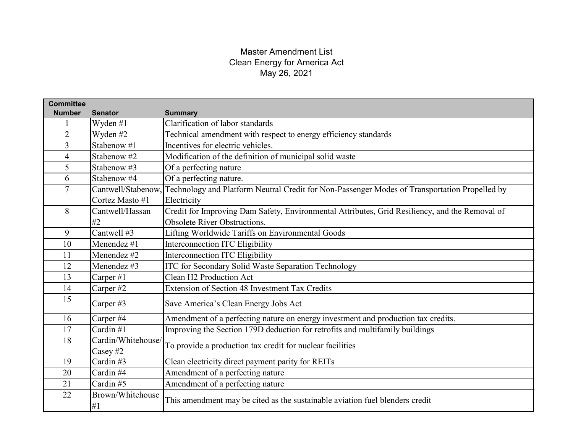| <b>Committee</b> |                        |                                                                                                |
|------------------|------------------------|------------------------------------------------------------------------------------------------|
| <b>Number</b>    | <b>Senator</b>         | <b>Summary</b>                                                                                 |
|                  | Wyden #1               | Clarification of labor standards                                                               |
| $\overline{2}$   | Wyden #2               | Technical amendment with respect to energy efficiency standards                                |
| $\overline{3}$   | Stabenow #1            | Incentives for electric vehicles.                                                              |
| $\overline{4}$   | Stabenow #2            | Modification of the definition of municipal solid waste                                        |
| 5                | Stabenow #3            | Of a perfecting nature                                                                         |
| 6                | Stabenow #4            | Of a perfecting nature.                                                                        |
| $\overline{7}$   | Cantwell/Stabenow,     | Technology and Platform Neutral Credit for Non-Passenger Modes of Transportation Propelled by  |
|                  | Cortez Masto #1        | Electricity                                                                                    |
| 8                | Cantwell/Hassan        | Credit for Improving Dam Safety, Environmental Attributes, Grid Resiliency, and the Removal of |
|                  | #2                     | Obsolete River Obstructions.                                                                   |
| 9                | Cantwell #3            | Lifting Worldwide Tariffs on Environmental Goods                                               |
| 10               | Menendez $#1$          | Interconnection ITC Eligibility                                                                |
| 11               | Menendez #2            | Interconnection ITC Eligibility                                                                |
| 12               | Menendez #3            | ITC for Secondary Solid Waste Separation Technology                                            |
| 13               | Carper#1               | Clean H2 Production Act                                                                        |
| 14               | Carper#2               | Extension of Section 48 Investment Tax Credits                                                 |
| 15               | Carper#3               | Save America's Clean Energy Jobs Act                                                           |
| 16               | Carper #4              | Amendment of a perfecting nature on energy investment and production tax credits.              |
| 17               | Cardin #1              | Improving the Section 179D deduction for retrofits and multifamily buildings                   |
| 18               | Cardin/Whitehouse/     | To provide a production tax credit for nuclear facilities                                      |
|                  | Casey #2               |                                                                                                |
| 19               | Cardin#3               | Clean electricity direct payment parity for REITs                                              |
| 20               | Cardin #4              | Amendment of a perfecting nature                                                               |
| 21               | Cardin#5               | Amendment of a perfecting nature                                                               |
| 22               | Brown/Whitehouse<br>#1 | This amendment may be cited as the sustainable aviation fuel blenders credit                   |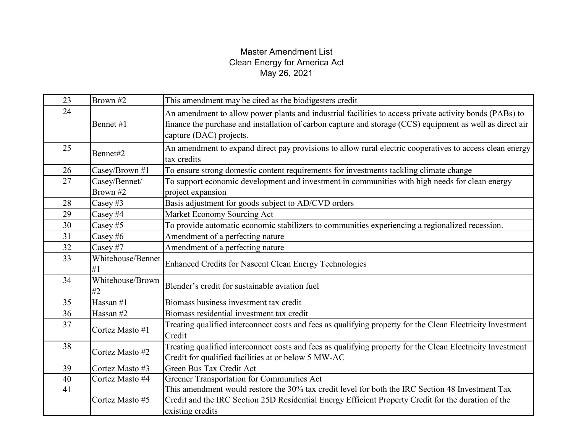| 23 | Brown #2                  | This amendment may be cited as the biodigesters credit                                                                                                                                                                                          |
|----|---------------------------|-------------------------------------------------------------------------------------------------------------------------------------------------------------------------------------------------------------------------------------------------|
| 24 | Bennet #1                 | An amendment to allow power plants and industrial facilities to access private activity bonds (PABs) to<br>finance the purchase and installation of carbon capture and storage (CCS) equipment as well as direct air<br>capture (DAC) projects. |
| 25 | Bennet#2                  | An amendment to expand direct pay provisions to allow rural electric cooperatives to access clean energy<br>tax credits                                                                                                                         |
| 26 | Casey/Brown #1            | To ensure strong domestic content requirements for investments tackling climate change                                                                                                                                                          |
| 27 | Casey/Bennet/<br>Brown #2 | To support economic development and investment in communities with high needs for clean energy<br>project expansion                                                                                                                             |
| 28 | Casey#3                   | Basis adjustment for goods subject to AD/CVD orders                                                                                                                                                                                             |
| 29 | Casey #4                  | Market Economy Sourcing Act                                                                                                                                                                                                                     |
| 30 | Casey $#5$                | To provide automatic economic stabilizers to communities experiencing a regionalized recession.                                                                                                                                                 |
| 31 | Casey $#6$                | Amendment of a perfecting nature                                                                                                                                                                                                                |
| 32 | Casey #7                  | Amendment of a perfecting nature                                                                                                                                                                                                                |
| 33 | Whitehouse/Bennet<br>#1   | <b>Enhanced Credits for Nascent Clean Energy Technologies</b>                                                                                                                                                                                   |
| 34 | Whitehouse/Brown<br>#2    | Blender's credit for sustainable aviation fuel                                                                                                                                                                                                  |
| 35 | Hassan #1                 | Biomass business investment tax credit                                                                                                                                                                                                          |
| 36 | Hassan #2                 | Biomass residential investment tax credit                                                                                                                                                                                                       |
| 37 | Cortez Masto #1           | Treating qualified interconnect costs and fees as qualifying property for the Clean Electricity Investment<br>Credit                                                                                                                            |
| 38 | Cortez Masto #2           | Treating qualified interconnect costs and fees as qualifying property for the Clean Electricity Investment<br>Credit for qualified facilities at or below 5 MW-AC                                                                               |
| 39 | Cortez Masto #3           | Green Bus Tax Credit Act                                                                                                                                                                                                                        |
| 40 | Cortez Masto #4           | Greener Transportation for Communities Act                                                                                                                                                                                                      |
| 41 |                           | This amendment would restore the 30% tax credit level for both the IRC Section 48 Investment Tax                                                                                                                                                |
|    | Cortez Masto #5           | Credit and the IRC Section 25D Residential Energy Efficient Property Credit for the duration of the<br>existing credits                                                                                                                         |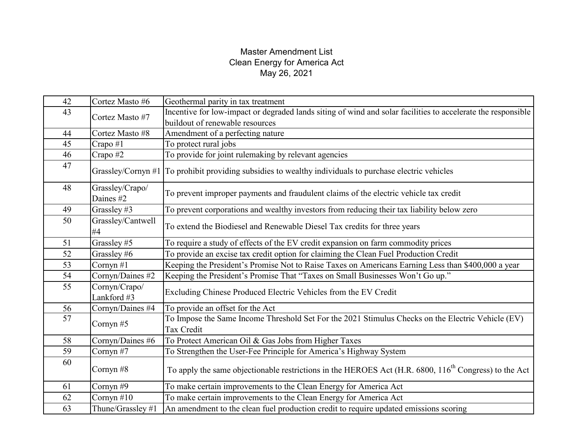| 42 | Cortez Masto #6              | Geothermal parity in tax treatment                                                                                |
|----|------------------------------|-------------------------------------------------------------------------------------------------------------------|
|    | 43<br>Cortez Masto #7        | Incentive for low-impact or degraded lands siting of wind and solar facilities to accelerate the responsible      |
|    |                              | buildout of renewable resources                                                                                   |
|    |                              |                                                                                                                   |
| 44 | Cortez Masto #8              | Amendment of a perfecting nature                                                                                  |
| 45 | Crapo #1                     | To protect rural jobs                                                                                             |
| 46 | Crapo #2                     | To provide for joint rulemaking by relevant agencies                                                              |
| 47 |                              | Grassley/Cornyn #1 To prohibit providing subsidies to wealthy individuals to purchase electric vehicles           |
| 48 | Grassley/Crapo/<br>Daines #2 | To prevent improper payments and fraudulent claims of the electric vehicle tax credit                             |
| 49 | Grassley #3                  | To prevent corporations and wealthy investors from reducing their tax liability below zero                        |
| 50 | Grassley/Cantwell<br>#4      | To extend the Biodiesel and Renewable Diesel Tax credits for three years                                          |
| 51 | Grassley #5                  | To require a study of effects of the EV credit expansion on farm commodity prices                                 |
| 52 | Grassley #6                  | To provide an excise tax credit option for claiming the Clean Fuel Production Credit                              |
| 53 | Cornyn $#1$                  | Keeping the President's Promise Not to Raise Taxes on Americans Earning Less than \$400,000 a year                |
| 54 | Cornyn/Daines #2             | Keeping the President's Promise That "Taxes on Small Businesses Won't Go up."                                     |
| 55 | Cornyn/Crapo/<br>Lankford #3 | Excluding Chinese Produced Electric Vehicles from the EV Credit                                                   |
| 56 | Cornyn/Daines #4             | To provide an offset for the Act                                                                                  |
| 57 | Cornyn#5                     | To Impose the Same Income Threshold Set For the 2021 Stimulus Checks on the Electric Vehicle (EV)                 |
|    |                              | Tax Credit                                                                                                        |
| 58 | Cornyn/Daines #6             | To Protect American Oil & Gas Jobs from Higher Taxes                                                              |
| 59 | Cornyn#7                     | To Strengthen the User-Fee Principle for America's Highway System                                                 |
| 60 | Cornyn $#8$                  | To apply the same objectionable restrictions in the HEROES Act (H.R. 6800, 116 <sup>th</sup> Congress) to the Act |
| 61 | Cornyn $#9$                  | To make certain improvements to the Clean Energy for America Act                                                  |
| 62 | Cornyn $#10$                 | To make certain improvements to the Clean Energy for America Act                                                  |
| 63 | Thune/Grassley #1            | An amendment to the clean fuel production credit to require updated emissions scoring                             |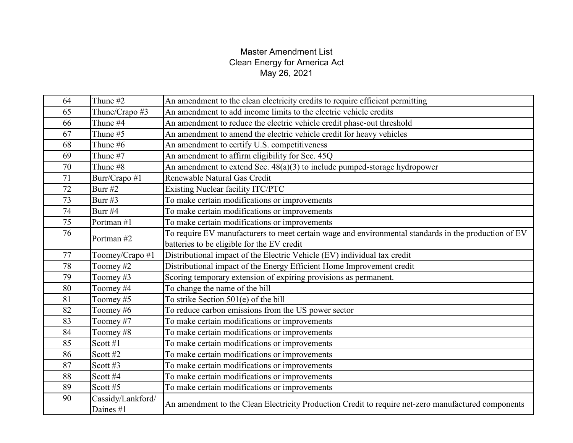| 64 | Thune #2                       | An amendment to the clean electricity credits to require efficient permitting                        |
|----|--------------------------------|------------------------------------------------------------------------------------------------------|
| 65 | Thune/Crapo #3                 | An amendment to add income limits to the electric vehicle credits                                    |
| 66 | Thune #4                       | An amendment to reduce the electric vehicle credit phase-out threshold                               |
| 67 | Thune #5                       | An amendment to amend the electric vehicle credit for heavy vehicles                                 |
| 68 | Thune #6                       | An amendment to certify U.S. competitiveness                                                         |
| 69 | Thune #7                       | An amendment to affirm eligibility for Sec. 45Q                                                      |
| 70 | Thune #8                       | An amendment to extend Sec. $48(a)(3)$ to include pumped-storage hydropower                          |
| 71 | Burr/Crapo #1                  | Renewable Natural Gas Credit                                                                         |
| 72 | Burr #2                        | Existing Nuclear facility ITC/PTC                                                                    |
| 73 | Burr $#3$                      | To make certain modifications or improvements                                                        |
| 74 | Burr #4                        | To make certain modifications or improvements                                                        |
| 75 | Portman #1                     | To make certain modifications or improvements                                                        |
| 76 | Portman #2                     | To require EV manufacturers to meet certain wage and environmental standards in the production of EV |
|    |                                | batteries to be eligible for the EV credit                                                           |
| 77 | Toomey/Crapo #1                | Distributional impact of the Electric Vehicle (EV) individual tax credit                             |
| 78 | Toomey #2                      | Distributional impact of the Energy Efficient Home Improvement credit                                |
| 79 | Toomey#3                       | Scoring temporary extension of expiring provisions as permanent.                                     |
| 80 | Toomey #4                      | To change the name of the bill                                                                       |
| 81 | Toomey#5                       | To strike Section 501(e) of the bill                                                                 |
| 82 | Toomey#6                       | To reduce carbon emissions from the US power sector                                                  |
| 83 | Toomey #7                      | To make certain modifications or improvements                                                        |
| 84 | Toomey#8                       | To make certain modifications or improvements                                                        |
| 85 | Scott #1                       | To make certain modifications or improvements                                                        |
| 86 | Scott #2                       | To make certain modifications or improvements                                                        |
| 87 | Scott #3                       | To make certain modifications or improvements                                                        |
| 88 | Scott #4                       | To make certain modifications or improvements                                                        |
| 89 | Scott $#5$                     | To make certain modifications or improvements                                                        |
| 90 | Cassidy/Lankford/<br>Daines #1 | An amendment to the Clean Electricity Production Credit to require net-zero manufactured components  |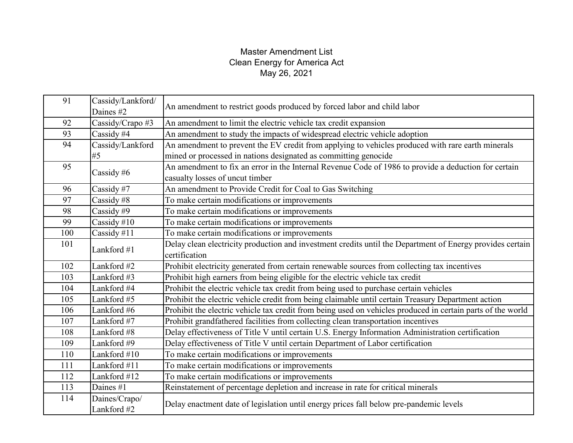| 91  | Cassidy/Lankford/<br>Daines #2 | An amendment to restrict goods produced by forced labor and child labor                                     |
|-----|--------------------------------|-------------------------------------------------------------------------------------------------------------|
| 92  | Cassidy/Crapo #3               | An amendment to limit the electric vehicle tax credit expansion                                             |
| 93  | Cassidy #4                     | An amendment to study the impacts of widespread electric vehicle adoption                                   |
| 94  | Cassidy/Lankford               | An amendment to prevent the EV credit from applying to vehicles produced with rare earth minerals           |
|     | #5                             | mined or processed in nations designated as committing genocide                                             |
| 95  | Cassidy #6                     | An amendment to fix an error in the Internal Revenue Code of 1986 to provide a deduction for certain        |
|     |                                | casualty losses of uncut timber                                                                             |
| 96  | Cassidy #7                     | An amendment to Provide Credit for Coal to Gas Switching                                                    |
| 97  | Cassidy #8                     | To make certain modifications or improvements                                                               |
| 98  | Cassidy #9                     | To make certain modifications or improvements                                                               |
| 99  | Cassidy $#10$                  | To make certain modifications or improvements                                                               |
| 100 | Cassidy #11                    | To make certain modifications or improvements                                                               |
| 101 | Lankford #1                    | Delay clean electricity production and investment credits until the Department of Energy provides certain   |
|     |                                | certification                                                                                               |
| 102 | Lankford #2                    | Prohibit electricity generated from certain renewable sources from collecting tax incentives                |
| 103 | Lankford #3                    | Prohibit high earners from being eligible for the electric vehicle tax credit                               |
| 104 | Lankford #4                    | Prohibit the electric vehicle tax credit from being used to purchase certain vehicles                       |
| 105 | Lankford #5                    | Prohibit the electric vehicle credit from being claimable until certain Treasury Department action          |
| 106 | Lankford #6                    | Prohibit the electric vehicle tax credit from being used on vehicles produced in certain parts of the world |
| 107 | Lankford #7                    | Prohibit grandfathered facilities from collecting clean transportation incentives                           |
| 108 | Lankford #8                    | Delay effectiveness of Title V until certain U.S. Energy Information Administration certification           |
| 109 | Lankford #9                    | Delay effectiveness of Title V until certain Department of Labor certification                              |
| 110 | Lankford #10                   | To make certain modifications or improvements                                                               |
| 111 | Lankford #11                   | To make certain modifications or improvements                                                               |
| 112 | Lankford #12                   | To make certain modifications or improvements                                                               |
| 113 | Daines #1                      | Reinstatement of percentage depletion and increase in rate for critical minerals                            |
| 114 | Daines/Crapo/<br>Lankford #2   | Delay enactment date of legislation until energy prices fall below pre-pandemic levels                      |